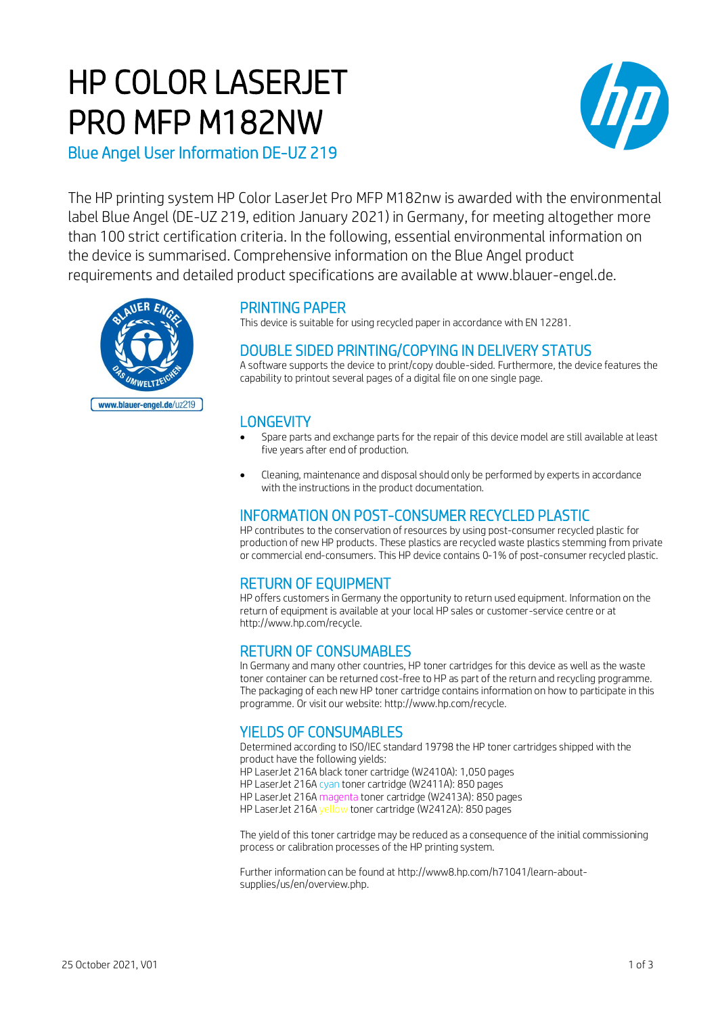# HP COLOR LASERJET PRO MFP M182NW



Blue Angel User Information DE-UZ 219

The HP printing system HP Color LaserJet Pro MFP M182nw is awarded with the environmental label Blue Angel (DE-UZ 219, edition January 2021) in Germany, for meeting altogether more than 100 strict certification criteria. In the following, essential environmental information on the device is summarised. Comprehensive information on the Blue Angel product requirements and detailed product specifications are available at www.blauer-engel.de.



# PRINTING PAPER

This device is suitable for using recycled paper in accordance with EN 12281.

## DOUBLE SIDED PRINTING/COPYING IN DELIVERY STATUS

A software supports the device to print/copy double-sided. Furthermore, the device features the capability to printout several pages of a digital file on one single page.

## **LONGEVITY**

- Spare parts and exchange parts for the repair of this device model are still available at least five years after end of production.
- Cleaning, maintenance and disposal should only be performed by experts in accordance with the instructions in the product documentation.

## INFORMATION ON POST-CONSUMER RECYCLED PLASTIC

HP contributes to the conservation of resources by using post-consumer recycled plastic for production of new HP products. These plastics are recycled waste plastics stemming from private or commercial end-consumers. This HP device contains 0-1% of post-consumer recycled plastic.

## RETURN OF EQUIPMENT

HP offers customers in Germany the opportunity to return used equipment. Information on the return of equipment is available at your local HP sales or customer-service centre or at http://www.hp.com/recycle.

## RETURN OF CONSUMABLES

In Germany and many other countries, HP toner cartridges for this device as well as the waste toner container can be returned cost-free to HP as part of the return and recycling programme. The packaging of each new HP toner cartridge contains information on how to participate in this programme. Or visit our website: http://www.hp.com/recycle.

## YIELDS OF CONSUMABLES

Determined according to ISO/IEC standard 19798 the HP toner cartridges shipped with the product have the following yields: HP LaserJet 216A black toner cartridge (W2410A): 1,050 pages

HP LaserJet 216A cyan toner cartridge (W2411A): 850 pages HP LaserJet 216A magenta toner cartridge (W2413A): 850 pages

HP LaserJet 216A yellow toner cartridge (W2412A): 850 pages

The yield of this toner cartridge may be reduced as a consequence of the initial commissioning process or calibration processes of the HP printing system.

Further information can be found at http://www8.hp.com/h71041/learn-aboutsupplies/us/en/overview.php.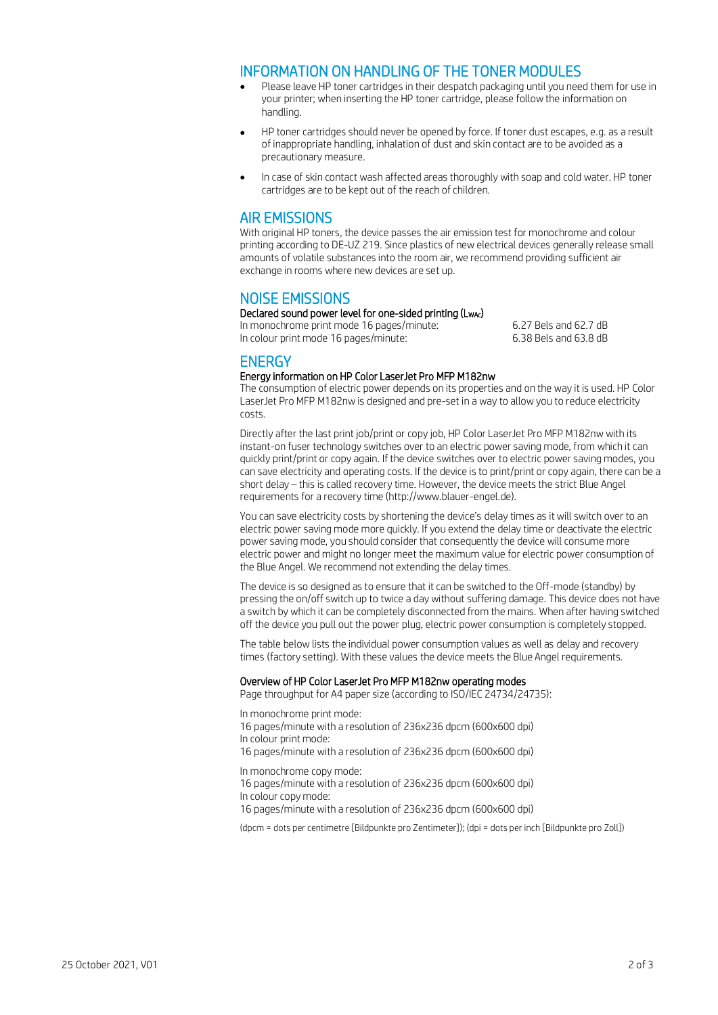### INFORMATION ON HANDLING OF THE TONER MODULES

- Please leave HP toner cartridges in their despatch packaging until you need them for use in your printer; when inserting the HP toner cartridge, please follow the information on handling.
- HP toner cartridges should never be opened by force. If toner dust escapes, e.g. as a result of inappropriate handling, inhalation of dust and skin contact are to be avoided as a precautionary measure.
- In case of skin contact wash affected areas thoroughly with soap and cold water. HP toner cartridges are to be kept out of the reach of children.

### AIR EMISSIONS

With original HP toners, the device passes the air emission test for monochrome and colour printing according to DE-UZ 219. Since plastics of new electrical devices generally release small amounts of volatile substances into the room air, we recommend providing sufficient air exchange in rooms where new devices are set up.

## NOISE EMISSIONS

Declared sound power level for one-sided printing (LwAc) In monochrome print mode 16 pages/minute: 6.27 Bels and 62.7 dB

In colour print mode 16 pages/minute: 6.38 Bels and 63.8 dB

## **ENERGY**

#### Energy information on HP Color LaserJet Pro MFP M182nw

The consumption of electric power depends on its properties and on the way it is used. HP Color LaserJet Pro MFP M182nw is designed and pre-set in a way to allow you to reduce electricity costs.

Directly after the last print job/print or copy job, HP Color LaserJet Pro MFP M182nw with its instant-on fuser technology switches over to an electric power saving mode, from which it can quickly print/print or copy again. If the device switches over to electric power saving modes, you can save electricity and operating costs. If the device is to print/print or copy again, there can be a short delay – this is called recovery time. However, the device meets the strict Blue Angel requirements for a recovery time (http://www.blauer-engel.de).

You can save electricity costs by shortening the device's delay times as it will switch over to an electric power saving mode more quickly. If you extend the delay time or deactivate the electric power saving mode, you should consider that consequently the device will consume more electric power and might no longer meet the maximum value for electric power consumption of the Blue Angel. We recommend not extending the delay times.

The device is so designed as to ensure that it can be switched to the Off-mode (standby) by pressing the on/off switch up to twice a day without suffering damage. This device does not have a switch by which it can be completely disconnected from the mains. When after having switched off the device you pull out the power plug, electric power consumption is completely stopped.

The table below lists the individual power consumption values as well as delay and recovery times (factory setting). With these values the device meets the Blue Angel requirements.

#### Overview of HP Color LaserJet Pro MFP M182nw operating modes

Page throughput for A4 paper size (according to ISO/IEC 24734/24735):

In monochrome print mode: 16 pages/minute with a resolution of 236x236 dpcm (600x600 dpi) In colour print mode: 16 pages/minute with a resolution of 236x236 dpcm (600x600 dpi)

In monochrome copy mode: 16 pages/minute with a resolution of 236x236 dpcm (600x600 dpi) In colour copy mode: 16 pages/minute with a resolution of 236x236 dpcm (600x600 dpi)

(dpcm = dots per centimetre [Bildpunkte pro Zentimeter]); (dpi = dots per inch [Bildpunkte pro Zoll])